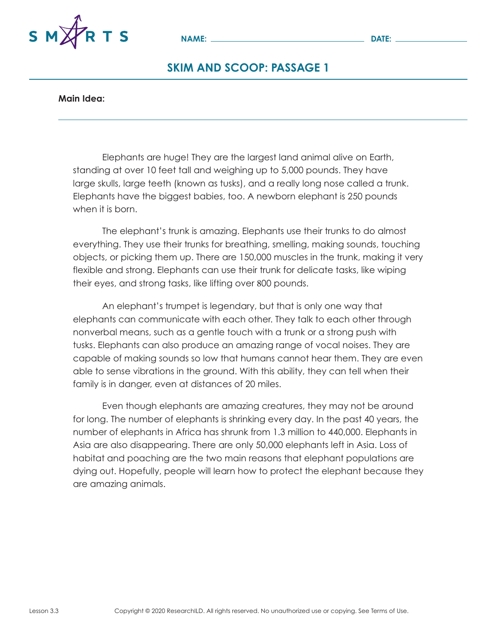

### **Main Idea:**

Elephants are huge! They are the largest land animal alive on Earth, standing at over 10 feet tall and weighing up to 5,000 pounds. They have large skulls, large teeth (known as tusks), and a really long nose called a trunk. Elephants have the biggest babies, too. A newborn elephant is 250 pounds when it is born.

The elephant's trunk is amazing. Elephants use their trunks to do almost everything. They use their trunks for breathing, smelling, making sounds, touching objects, or picking them up. There are 150,000 muscles in the trunk, making it very flexible and strong. Elephants can use their trunk for delicate tasks, like wiping their eyes, and strong tasks, like lifting over 800 pounds.

An elephant's trumpet is legendary, but that is only one way that elephants can communicate with each other. They talk to each other through nonverbal means, such as a gentle touch with a trunk or a strong push with tusks. Elephants can also produce an amazing range of vocal noises. They are capable of making sounds so low that humans cannot hear them. They are even able to sense vibrations in the ground. With this ability, they can tell when their family is in danger, even at distances of 20 miles.

Even though elephants are amazing creatures, they may not be around for long. The number of elephants is shrinking every day. In the past 40 years, the number of elephants in Africa has shrunk from 1.3 million to 440,000. Elephants in Asia are also disappearing. There are only 50,000 elephants left in Asia. Loss of habitat and poaching are the two main reasons that elephant populations are dying out. Hopefully, people will learn how to protect the elephant because they are amazing animals.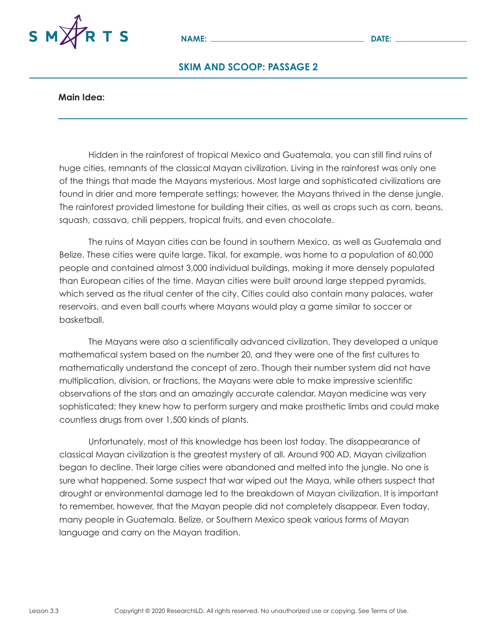

#### **Main Idea:**

Hidden in the rainforest of tropical Mexico and Guatemala, you can still find ruins of huge cities, remnants of the classical Mayan civilization. Living in the rainforest was only one of the things that made the Mayans mysterious. Most large and sophisticated civilizations are found in drier and more temperate settings; however, the Mayans thrived in the dense jungle. The rainforest provided limestone for building their cities, as well as crops such as corn, beans, squash, cassava, chili peppers, tropical fruits, and even chocolate.

The ruins of Mayan cities can be found in southern Mexico, as well as Guatemala and Belize. These cities were quite large. Tikal, for example, was home to a population of 60,000 people and contained almost 3,000 individual buildings, making it more densely populated than European cities of the time. Mayan cities were built around large stepped pyramids, which served as the ritual center of the city. Cities could also contain many palaces, water reservoirs, and even ball courts where Mayans would play a game similar to soccer or basketball.

The Mayans were also a scientifically advanced civilization. They developed a unique mathematical system based on the number 20, and they were one of the first cultures to mathematically understand the concept of zero. Though their number system did not have multiplication, division, or fractions, the Mayans were able to make impressive scientific observations of the stars and an amazingly accurate calendar. Mayan medicine was very sophisticated; they knew how to perform surgery and make prosthetic limbs and could make countless drugs from over 1,500 kinds of plants.

Unfortunately, most of this knowledge has been lost today. The disappearance of classical Mayan civilization is the greatest mystery of all. Around 900 AD, Mayan civilization began to decline. Their large cities were abandoned and melted into the jungle. No one is sure what happened. Some suspect that war wiped out the Maya, while others suspect that drought or environmental damage led to the breakdown of Mayan civilization. It is important to remember, however, that the Mayan people did not completely disappear. Even today, many people in Guatemala, Belize, or Southern Mexico speak various forms of Mayan language and carry on the Mayan tradition.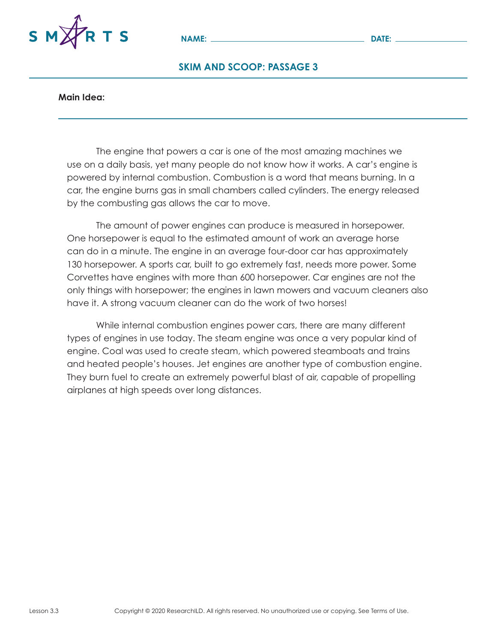

#### **Main Idea:**

The engine that powers a car is one of the most amazing machines we use on a daily basis, yet many people do not know how it works. A car's engine is powered by internal combustion. Combustion is a word that means burning. In a car, the engine burns gas in small chambers called cylinders. The energy released by the combusting gas allows the car to move.

The amount of power engines can produce is measured in horsepower. One horsepower is equal to the estimated amount of work an average horse can do in a minute. The engine in an average four-door car has approximately 130 horsepower. A sports car, built to go extremely fast, needs more power. Some Corvettes have engines with more than 600 horsepower. Car engines are not the only things with horsepower; the engines in lawn mowers and vacuum cleaners also have it. A strong vacuum cleaner can do the work of two horses!

While internal combustion engines power cars, there are many different types of engines in use today. The steam engine was once a very popular kind of engine. Coal was used to create steam, which powered steamboats and trains and heated people's houses. Jet engines are another type of combustion engine. They burn fuel to create an extremely powerful blast of air, capable of propelling airplanes at high speeds over long distances.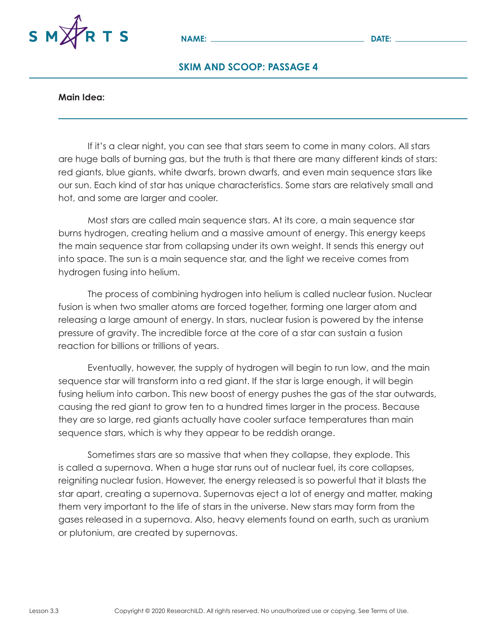

#### **Main Idea:**

If it's a clear night, you can see that stars seem to come in many colors. All stars are huge balls of burning gas, but the truth is that there are many different kinds of stars: red giants, blue giants, white dwarfs, brown dwarfs, and even main sequence stars like our sun. Each kind of star has unique characteristics. Some stars are relatively small and hot, and some are larger and cooler.

Most stars are called main sequence stars. At its core, a main sequence star burns hydrogen, creating helium and a massive amount of energy. This energy keeps the main sequence star from collapsing under its own weight. It sends this energy out into space. The sun is a main sequence star, and the light we receive comes from hydrogen fusing into helium.

The process of combining hydrogen into helium is called nuclear fusion. Nuclear fusion is when two smaller atoms are forced together, forming one larger atom and releasing a large amount of energy. In stars, nuclear fusion is powered by the intense pressure of gravity. The incredible force at the core of a star can sustain a fusion reaction for billions or trillions of years.

Eventually, however, the supply of hydrogen will begin to run low, and the main sequence star will transform into a red giant. If the star is large enough, it will begin fusing helium into carbon. This new boost of energy pushes the gas of the star outwards, causing the red giant to grow ten to a hundred times larger in the process. Because they are so large, red giants actually have cooler surface temperatures than main sequence stars, which is why they appear to be reddish orange.

Sometimes stars are so massive that when they collapse, they explode. This is called a supernova. When a huge star runs out of nuclear fuel, its core collapses, reigniting nuclear fusion. However, the energy released is so powerful that it blasts the star apart, creating a supernova. Supernovas eject a lot of energy and matter, making them very important to the life of stars in the universe. New stars may form from the gases released in a supernova. Also, heavy elements found on earth, such as uranium or plutonium, are created by supernovas.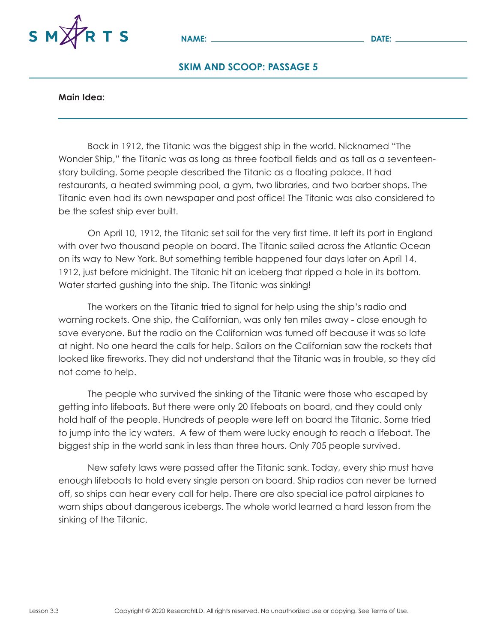

#### **Main Idea:**

Back in 1912, the Titanic was the biggest ship in the world. Nicknamed "The Wonder Ship," the Titanic was as long as three football fields and as tall as a seventeenstory building. Some people described the Titanic as a floating palace. It had restaurants, a heated swimming pool, a gym, two libraries, and two barber shops. The Titanic even had its own newspaper and post office! The Titanic was also considered to be the safest ship ever built.

On April 10, 1912, the Titanic set sail for the very first time. It left its port in England with over two thousand people on board. The Titanic sailed across the Atlantic Ocean on its way to New York. But something terrible happened four days later on April 14, 1912, just before midnight. The Titanic hit an iceberg that ripped a hole in its bottom. Water started gushing into the ship. The Titanic was sinking!

The workers on the Titanic tried to signal for help using the ship's radio and warning rockets. One ship, the Californian, was only ten miles away - close enough to save everyone. But the radio on the Californian was turned off because it was so late at night. No one heard the calls for help. Sailors on the Californian saw the rockets that looked like fireworks. They did not understand that the Titanic was in trouble, so they did not come to help.

The people who survived the sinking of the Titanic were those who escaped by getting into lifeboats. But there were only 20 lifeboats on board, and they could only hold half of the people. Hundreds of people were left on board the Titanic. Some tried to jump into the icy waters. A few of them were lucky enough to reach a lifeboat. The biggest ship in the world sank in less than three hours. Only 705 people survived.

New safety laws were passed after the Titanic sank. Today, every ship must have enough lifeboats to hold every single person on board. Ship radios can never be turned off, so ships can hear every call for help. There are also special ice patrol airplanes to warn ships about dangerous icebergs. The whole world learned a hard lesson from the sinking of the Titanic.